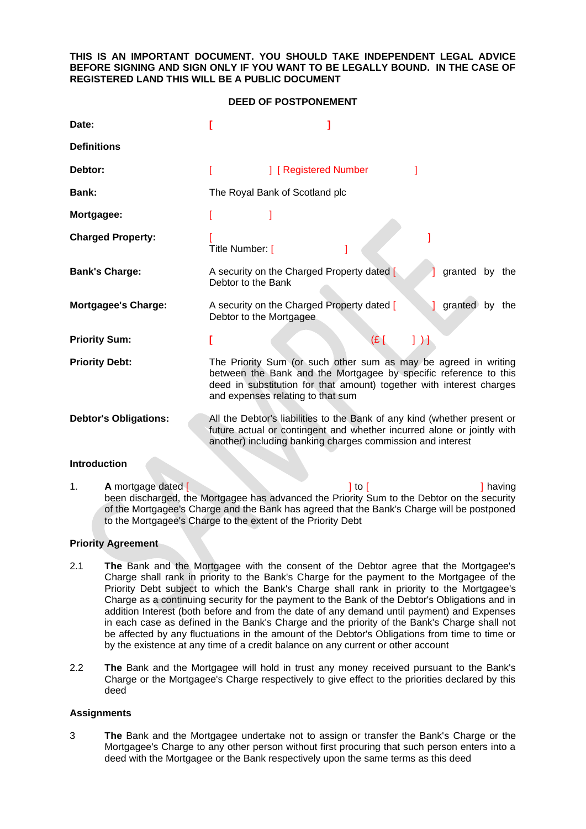## **THIS IS AN IMPORTANT DOCUMENT. YOU SHOULD TAKE INDEPENDENT LEGAL ADVICE BEFORE SIGNING AND SIGN ONLY IF YOU WANT TO BE LEGALLY BOUND. IN THE CASE OF REGISTERED LAND THIS WILL BE A PUBLIC DOCUMENT**

#### **DEED OF POSTPONEMENT**

| Date:                        |                                                                                                                                                                                                                                                  |                                                                                                                                                                                                                  |                                            |                |        |
|------------------------------|--------------------------------------------------------------------------------------------------------------------------------------------------------------------------------------------------------------------------------------------------|------------------------------------------------------------------------------------------------------------------------------------------------------------------------------------------------------------------|--------------------------------------------|----------------|--------|
| <b>Definitions</b>           |                                                                                                                                                                                                                                                  |                                                                                                                                                                                                                  |                                            |                |        |
| Debtor:                      |                                                                                                                                                                                                                                                  | ] [ Registered Number                                                                                                                                                                                            |                                            |                |        |
| Bank:                        |                                                                                                                                                                                                                                                  | The Royal Bank of Scotland plc                                                                                                                                                                                   |                                            |                |        |
| Mortgagee:                   |                                                                                                                                                                                                                                                  |                                                                                                                                                                                                                  |                                            |                |        |
| <b>Charged Property:</b>     | Title Number: [                                                                                                                                                                                                                                  |                                                                                                                                                                                                                  |                                            |                |        |
| <b>Bank's Charge:</b>        | Debtor to the Bank                                                                                                                                                                                                                               | A security on the Charged Property dated [                                                                                                                                                                       |                                            | granted by the |        |
| <b>Mortgagee's Charge:</b>   | Debtor to the Mortgagee                                                                                                                                                                                                                          | A security on the Charged Property dated [                                                                                                                                                                       |                                            | granted by the |        |
| <b>Priority Sum:</b>         |                                                                                                                                                                                                                                                  |                                                                                                                                                                                                                  | $\overline{f}$<br>$\left  \ \right\rangle$ |                |        |
| <b>Priority Debt:</b>        | The Priority Sum (or such other sum as may be agreed in writing<br>between the Bank and the Mortgagee by specific reference to this<br>deed in substitution for that amount) together with interest charges<br>and expenses relating to that sum |                                                                                                                                                                                                                  |                                            |                |        |
| <b>Debtor's Obligations:</b> |                                                                                                                                                                                                                                                  | All the Debtor's liabilities to the Bank of any kind (whether present or<br>future actual or contingent and whether incurred alone or jointly with<br>another) including banking charges commission and interest |                                            |                |        |
| <b>Introduction</b>          |                                                                                                                                                                                                                                                  |                                                                                                                                                                                                                  |                                            |                |        |
| A mortgage dated [<br>1.     |                                                                                                                                                                                                                                                  | ] to [                                                                                                                                                                                                           |                                            |                | having |

been discharged, the Mortgagee has advanced the Priority Sum to the Debtor on the security of the Mortgagee's Charge and the Bank has agreed that the Bank's Charge will be postponed to the Mortgagee's Charge to the extent of the Priority Debt

## **Priority Agreement**

- 2.1 **The** Bank and the Mortgagee with the consent of the Debtor agree that the Mortgagee's Charge shall rank in priority to the Bank's Charge for the payment to the Mortgagee of the Priority Debt subject to which the Bank's Charge shall rank in priority to the Mortgagee's Charge as a continuing security for the payment to the Bank of the Debtor's Obligations and in addition Interest (both before and from the date of any demand until payment) and Expenses in each case as defined in the Bank's Charge and the priority of the Bank's Charge shall not be affected by any fluctuations in the amount of the Debtor's Obligations from time to time or by the existence at any time of a credit balance on any current or other account
- 2.2 **The** Bank and the Mortgagee will hold in trust any money received pursuant to the Bank's Charge or the Mortgagee's Charge respectively to give effect to the priorities declared by this deed

#### **Assignments**

3 **The** Bank and the Mortgagee undertake not to assign or transfer the Bank's Charge or the Mortgagee's Charge to any other person without first procuring that such person enters into a deed with the Mortgagee or the Bank respectively upon the same terms as this deed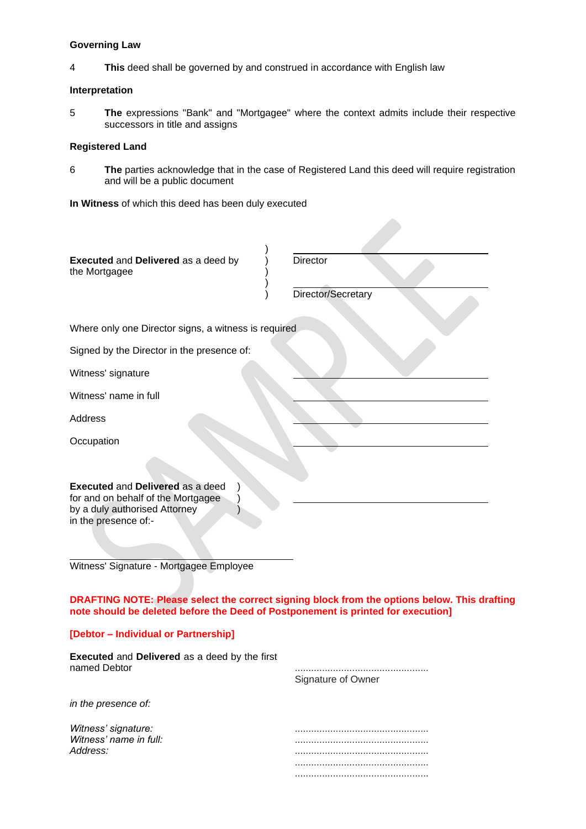## **Governing Law**

4 **This** deed shall be governed by and construed in accordance with English law

## **Interpretation**

5 **The** expressions "Bank" and "Mortgagee" where the context admits include their respective successors in title and assigns

# **Registered Land**

6 **The** parties acknowledge that in the case of Registered Land this deed will require registration and will be a public document

**In Witness** of which this deed has been duly executed

| Executed and Delivered as a deed by<br>the Mortgagee                                                                                   | <b>Director</b>                                                                              |
|----------------------------------------------------------------------------------------------------------------------------------------|----------------------------------------------------------------------------------------------|
|                                                                                                                                        | Director/Secretary                                                                           |
| Where only one Director signs, a witness is required                                                                                   |                                                                                              |
| Signed by the Director in the presence of:                                                                                             |                                                                                              |
| Witness' signature                                                                                                                     |                                                                                              |
| Witness' name in full                                                                                                                  |                                                                                              |
| <b>Address</b>                                                                                                                         |                                                                                              |
| Occupation                                                                                                                             |                                                                                              |
|                                                                                                                                        |                                                                                              |
| <b>Executed and Delivered as a deed</b><br>for and on behalf of the Mortgagee<br>by a duly authorised Attorney<br>in the presence of:- |                                                                                              |
| Witness' Signature - Mortgagee Employee                                                                                                |                                                                                              |
| note should be deleted before the Deed of Postponement is printed for execution]                                                       | DRAFTING NOTE: Please select the correct signing block from the options below. This drafting |
| [Debtor - Individual or Partnership]                                                                                                   |                                                                                              |
| <b>Executed and Delivered as a deed by the first</b>                                                                                   |                                                                                              |

| <b>Executed</b> and <b>Delivered</b> as a deed by the mist<br>named Debtor | Signature of Owner |
|----------------------------------------------------------------------------|--------------------|
| in the presence of:                                                        |                    |
| Witness' signature:<br>Witness' name in full:                              |                    |
| Address:                                                                   |                    |
|                                                                            |                    |
|                                                                            |                    |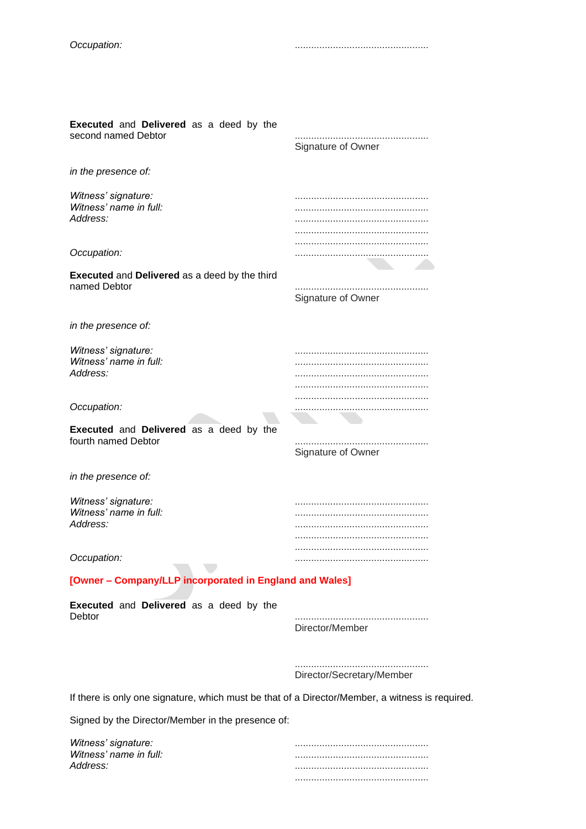*Occupation:* .................................................

| <b>Executed</b> and Delivered as a deed by the<br>second named Debtor | Signature of Owner        |
|-----------------------------------------------------------------------|---------------------------|
| in the presence of:                                                   |                           |
| Witness' signature:<br>Witness' name in full:<br>Address:             |                           |
| Occupation:                                                           |                           |
| <b>Executed and Delivered as a deed by the third</b><br>named Debtor  | Signature of Owner        |
| in the presence of:                                                   |                           |
| Witness' signature:<br>Witness' name in full:<br>Address:             |                           |
| Occupation:                                                           |                           |
| <b>Executed</b> and Delivered as a deed by the<br>fourth named Debtor | Signature of Owner        |
| in the presence of:                                                   |                           |
| Witness' signature:<br>Witness' name in full:<br>Address:             |                           |
| Occupation:                                                           |                           |
| [Owner - Company/LLP incorporated in England and Wales]               |                           |
| Executed and Delivered as a deed by the<br>Debtor                     | Director/Member           |
|                                                                       | Director/Secretary/Member |

If there is only one signature, which must be that of a Director/Member, a witness is required.

Signed by the Director/Member in the presence of:

| Witness' signature:    |  |
|------------------------|--|
| Witness' name in full: |  |
| Address:               |  |
|                        |  |